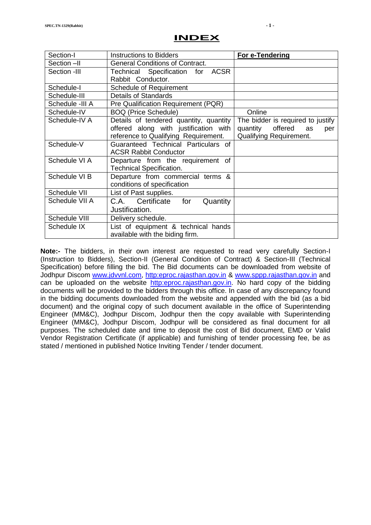#### **INDEX**

| Section-I       | <b>Instructions to Bidders</b>         | For e-Tendering                   |
|-----------------|----------------------------------------|-----------------------------------|
| Section -II     | <b>General Conditions of Contract.</b> |                                   |
| Section -III    | Technical Specification for ACSR       |                                   |
|                 | Rabbit Conductor.                      |                                   |
| Schedule-I      | <b>Schedule of Requirement</b>         |                                   |
| Schedule-III    | Details of Standards                   |                                   |
| Schedule -III A | Pre Qualification Requirement (PQR)    |                                   |
| Schedule-IV     | <b>BOQ (Price Schedule)</b>            | Online                            |
| Schedule-IV A   | Details of tendered quantity, quantity | The bidder is required to justify |
|                 | offered along with justification with  | quantity<br>offered as<br>per     |
|                 | reference to Qualifying Requirement.   | Qualifying Requirement.           |
| Schedule-V      | Guaranteed Technical Particulars of    |                                   |
|                 | <b>ACSR Rabbit Conductor</b>           |                                   |
| Schedule VI A   | Departure from the requirement of      |                                   |
|                 | <b>Technical Specification.</b>        |                                   |
| Schedule VI B   | Departure from commercial terms &      |                                   |
|                 | conditions of specification            |                                   |
| Schedule VII    | List of Past supplies.                 |                                   |
| Schedule VII A  | C.A. Certificate<br>for<br>Quantity    |                                   |
|                 | Justification.                         |                                   |
| Schedule VIII   | Delivery schedule.                     |                                   |
| Schedule IX     | List of equipment & technical hands    |                                   |
|                 | available with the biding firm.        |                                   |

**Note:-** The bidders, in their own interest are requested to read very carefully Section-I (Instruction to Bidders), Section-II (General Condition of Contract) & Section-III (Technical Specification) before filling the bid. The Bid documents can be downloaded from website of Jodhpur Discom [www.jdvvnl.com,](http://www.jdvvnl.com/) [http:eproc.rajasthan.gov.in](Specs%20Section-III%20.doc) & [www.sppp.rajasthan.gov.in](http://www.sppp.rajasthan.gov.in/) and can be uploaded on the website [http:eproc.rajasthan.gov.in.](file:\\192.168.16.65\sk%20bhati%20sir\d\S%20K%20Bhati%20c%20drive\ss\SKB\Bhati-08\TN-937%20Onwards%20(2013-14)\TN-943%2033%20KV%20Pin%20Insulator\Specs%20Section-III%20.doc) No hard copy of the bidding documents will be provided to the bidders through this office. In case of any discrepancy found in the bidding documents downloaded from the website and appended with the bid (as a bid document) and the original copy of such document available in the office of Superintending Engineer (MM&C), Jodhpur Discom, Jodhpur then the copy available with Superintending Engineer (MM&C), Jodhpur Discom, Jodhpur will be considered as final document for all purposes. The scheduled date and time to deposit the cost of Bid document, EMD or Valid Vendor Registration Certificate (if applicable) and furnishing of tender processing fee, be as stated / mentioned in published Notice Inviting Tender / tender document.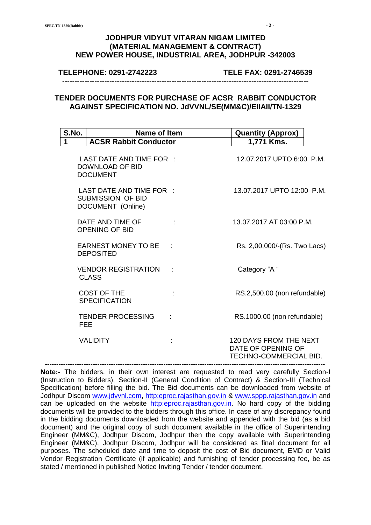#### **TELEPHONE: 0291-2742223 TELE FAX: 0291-2746539**

#### **TENDER DOCUMENTS FOR PURCHASE OF ACSR RABBIT CONDUCTOR AGAINST SPECIFICATION NO. JdVVNL/SE(MM&C)/EIIAII/TN-1329**

---------------------------------------------------------------------------------------------------

| S.No.      | Name of Item                                                              |                 | <b>Quantity (Approx)</b>                                                      |  |
|------------|---------------------------------------------------------------------------|-----------------|-------------------------------------------------------------------------------|--|
| 1          | <b>ACSR Rabbit Conductor</b>                                              |                 | 1,771 Kms.                                                                    |  |
|            | LAST DATE AND TIME FOR :<br>DOWNLOAD OF BID<br><b>DOCUMENT</b>            |                 | 12.07.2017 UPTO 6:00 P.M.                                                     |  |
|            | LAST DATE AND TIME FOR :<br><b>SUBMISSION OF BID</b><br>DOCUMENT (Online) |                 | 13.07.2017 UPTO 12:00 P.M.                                                    |  |
|            | DATE AND TIME OF<br><b>OPENING OF BID</b>                                 |                 | 13.07.2017 AT 03:00 P.M.                                                      |  |
|            | EARNEST MONEY TO BE :<br><b>DEPOSITED</b>                                 |                 | Rs. 2,00,000/-(Rs. Two Lacs)                                                  |  |
|            | <b>VENDOR REGISTRATION</b><br><b>CLASS</b>                                | $\sim$ 10 $\pm$ | Category "A "                                                                 |  |
|            | <b>COST OF THE</b><br><b>SPECIFICATION</b>                                |                 | RS.2,500.00 (non refundable)                                                  |  |
| <b>FEE</b> | <b>TENDER PROCESSING</b>                                                  |                 | RS.1000.00 (non refundable)                                                   |  |
|            | <b>VALIDITY</b>                                                           |                 | <b>120 DAYS FROM THE NEXT</b><br>DATE OF OPENING OF<br>TECHNO-COMMERCIAL BID. |  |

**Note:-** The bidders, in their own interest are requested to read very carefully Section-I (Instruction to Bidders), Section-II (General Condition of Contract) & Section-III (Technical Specification) before filling the bid. The Bid documents can be downloaded from website of Jodhpur Discom [www.jdvvnl.com,](http://www.jdvvnl.com/) [http:eproc.rajasthan.gov.in](Specs%20Section-III%20.doc) & [www.sppp.rajasthan.gov.in](http://www.sppp.rajasthan.gov.in/) and can be uploaded on the website [http:eproc.rajasthan.gov.in.](file:\\192.168.16.65\sk%20bhati%20sir\d\S%20K%20Bhati%20c%20drive\ss\SKB\Bhati-08\TN-937%20Onwards%20(2013-14)\TN-943%2033%20KV%20Pin%20Insulator\Specs%20Section-III%20.doc) No hard copy of the bidding documents will be provided to the bidders through this office. In case of any discrepancy found in the bidding documents downloaded from the website and appended with the bid (as a bid document) and the original copy of such document available in the office of Superintending Engineer (MM&C), Jodhpur Discom, Jodhpur then the copy available with Superintending Engineer (MM&C), Jodhpur Discom, Jodhpur will be considered as final document for all purposes. The scheduled date and time to deposit the cost of Bid document, EMD or Valid Vendor Registration Certificate (if applicable) and furnishing of tender processing fee, be as stated / mentioned in published Notice Inviting Tender / tender document.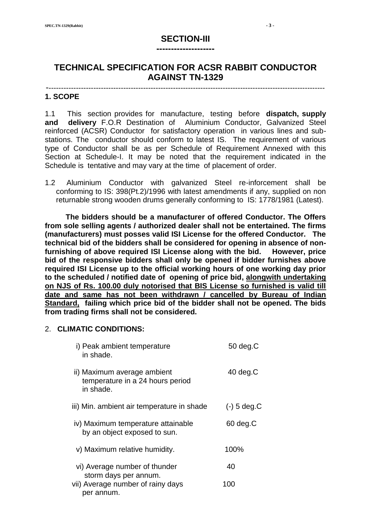# **SECTION-III --------------------**

# **TECHNICAL SPECIFICATION FOR ACSR RABBIT CONDUCTOR AGAINST TN-1329**

#### ---------------------------------------------------------------------------------------------------------------- **1. SCOPE**

1.1 This section provides for manufacture, testing before **dispatch, supply and delivery** F.O.R Destination of Aluminium Conductor, Galvanized Steel reinforced (ACSR) Conductor for satisfactory operation in various lines and substations. The conductor should conform to latest IS. The requirement of various type of Conductor shall be as per Schedule of Requirement Annexed with this Section at Schedule-I. It may be noted that the requirement indicated in the Schedule is tentative and may vary at the time of placement of order.

1.2 Aluminium Conductor with galvanized Steel re-inforcement shall be conforming to IS: 398(Pt.2)/1996 with latest amendments if any, supplied on non returnable strong wooden drums generally conforming to IS: 1778/1981 (Latest).

 **The bidders should be a manufacturer of offered Conductor. The Offers from sole selling agents / authorized dealer shall not be entertained. The firms (manufacturers) must posses valid ISI License for the offered Conductor. The technical bid of the bidders shall be considered for opening in absence of nonfurnishing of above required ISI License along with the bid. However, price bid of the responsive bidders shall only be opened if bidder furnishes above required ISI License up to the official working hours of one working day prior to the scheduled / notified date of opening of price bid, alongwith undertaking on NJS of Rs. 100.00 duly notorised that BIS License so furnished is valid till date and same has not been withdrawn / cancelled by Bureau of Indian Standard, failing which price bid of the bidder shall not be opened. The bids from trading firms shall not be considered.**

#### 2. **CLIMATIC CONDITIONS:**

| i) Peak ambient temperature<br>in shade.                                     | $50 \text{ deg}$ . $C$ |
|------------------------------------------------------------------------------|------------------------|
| ii) Maximum average ambient<br>temperature in a 24 hours period<br>in shade. | $40 \text{ deg.C}$     |
| iii) Min. ambient air temperature in shade                                   | $(-)$ 5 deg.C          |
| iv) Maximum temperature attainable<br>by an object exposed to sun.           | 60 deg.C               |
| v) Maximum relative humidity.                                                | 100%                   |
| vi) Average number of thunder                                                | 40                     |
| storm days per annum.<br>vii) Average number of rainy days<br>per annum.     | 100                    |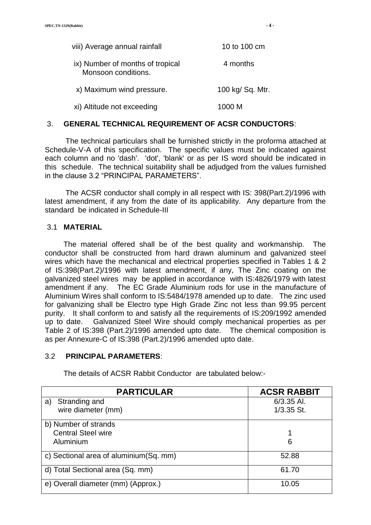| viii) Average annual rainfall                           | 10 to 100 cm     |  |
|---------------------------------------------------------|------------------|--|
| ix) Number of months of tropical<br>Monsoon conditions. | 4 months         |  |
| x) Maximum wind pressure.                               | 100 kg/ Sq. Mtr. |  |
| xi) Altitude not exceeding                              | 1000 M           |  |

#### 3. **GENERAL TECHNICAL REQUIREMENT OF ACSR CONDUCTORS**:

 The technical particulars shall be furnished strictly in the proforma attached at Schedule-V-A of this specification. The specific values must be indicated against each column and no 'dash'. 'dot', 'blank' or as per IS word should be indicated in this schedule. The technical suitability shall be adjudged from the values furnished in the clause 3.2 "PRINCIPAL PARAMETERS".

 The ACSR conductor shall comply in all respect with IS: 398(Part.2)/1996 with latest amendment, if any from the date of its applicability. Any departure from the standard be indicated in Schedule-III

#### 3.1 **MATERIAL**

 The material offered shall be of the best quality and workmanship. The conductor shall be constructed from hard drawn aluminum and galvanized steel wires which have the mechanical and electrical properties specified in Tables 1 & 2 of IS:398(Part.2)/1996 with latest amendment, if any, The Zinc coating on the galvanized steel wires may be applied in accordance with IS:4826/1979 with latest amendment if any. The EC Grade Aluminium rods for use in the manufacture of Aluminium Wires shall conform to IS:5484/1978 amended up to date. The zinc used for galvanizing shall be Electro type High Grade Zinc not less than 99.95 percent purity. It shall conform to and satisfy all the requirements of IS:209/1992 amended up to date. Galvanized Steel Wire should comply mechanical properties as per Table 2 of IS:398 (Part.2)/1996 amended upto date. The chemical composition is as per Annexure-C of IS:398 (Part.2)/1996 amended upto date.

#### 3.2 **PRINCIPAL PARAMETERS**:

| <b>PARTICULAR</b>                         | <b>ACSR RABBIT</b> |  |
|-------------------------------------------|--------------------|--|
| Stranding and<br>a)                       | $6/3.35$ Al.       |  |
| wire diameter (mm)                        | $1/3.35$ St.       |  |
| b) Number of strands                      |                    |  |
| <b>Central Steel wire</b>                 |                    |  |
| Aluminium                                 | 6                  |  |
| c) Sectional area of aluminium (Sq. mm)   | 52.88              |  |
| d) Total Sectional area (Sq. mm)<br>61.70 |                    |  |
| e) Overall diameter (mm) (Approx.)        | 10.05              |  |

The details of ACSR Rabbit Conductor are tabulated below:-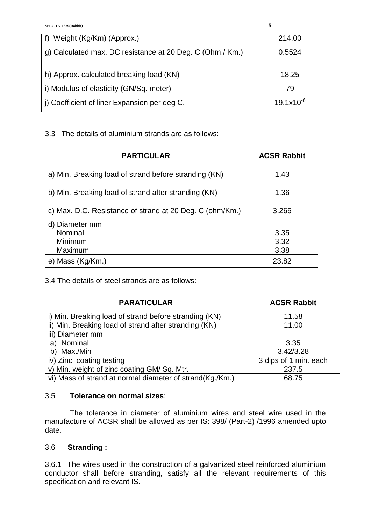| f) Weight (Kg/Km) (Approx.)                               | 214.00         |
|-----------------------------------------------------------|----------------|
| g) Calculated max. DC resistance at 20 Deg. C (Ohm./ Km.) | 0.5524         |
| h) Approx. calculated breaking load (KN)                  | 18.25          |
| i) Modulus of elasticity (GN/Sq. meter)                   | 79             |
| j) Coefficient of liner Expansion per deg C.              | $19.1x10^{-6}$ |

3.3 The details of aluminium strands are as follows:

| <b>PARTICULAR</b>                                        | <b>ACSR Rabbit</b> |
|----------------------------------------------------------|--------------------|
| a) Min. Breaking load of strand before stranding (KN)    | 1.43               |
| b) Min. Breaking load of strand after stranding (KN)     | 1.36               |
| c) Max. D.C. Resistance of strand at 20 Deg. C (ohm/Km.) | 3.265              |
| d) Diameter mm                                           |                    |
| Nominal                                                  | 3.35               |
| Minimum                                                  | 3.32               |
| Maximum                                                  | 3.38               |
| e) Mass (Kg/Km.)                                         | 23.82              |

#### 3.4 The details of steel strands are as follows:

| <b>PARATICULAR</b>                                       | <b>ACSR Rabbit</b>    |
|----------------------------------------------------------|-----------------------|
| i) Min. Breaking load of strand before stranding (KN)    | 11.58                 |
| ii) Min. Breaking load of strand after stranding (KN)    | 11.00                 |
| iii) Diameter mm                                         |                       |
| Nominal<br>a)                                            | 3.35                  |
| Max./Min<br>b)                                           | 3.42/3.28             |
| iv) Zinc coating testing                                 | 3 dips of 1 min. each |
| v) Min. weight of zinc coating GM/ Sq. Mtr.              | 237.5                 |
| vi) Mass of strand at normal diameter of strand(Kg./Km.) | 68.75                 |

#### 3.5 **Tolerance on normal sizes**:

 The tolerance in diameter of aluminium wires and steel wire used in the manufacture of ACSR shall be allowed as per IS: 398/ (Part-2) /1996 amended upto date.

# 3.6 **Stranding :**

3.6.1 The wires used in the construction of a galvanized steel reinforced aluminium conductor shall before stranding, satisfy all the relevant requirements of this specification and relevant IS.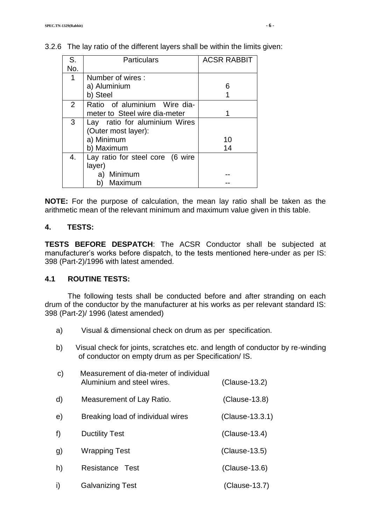| S.  | <b>Particulars</b>               | <b>ACSR RABBIT</b> |
|-----|----------------------------------|--------------------|
| No. |                                  |                    |
| 1   | Number of wires:                 |                    |
|     | a) Aluminium                     | 6                  |
|     | b) Steel                         |                    |
| 2   | Ratio of aluminium Wire dia-     |                    |
|     | meter to Steel wire dia-meter    |                    |
| 3   | Lay ratio for aluminium Wires    |                    |
|     | (Outer most layer):              |                    |
|     | a) Minimum                       | 10                 |
|     | b) Maximum                       | 14                 |
| 4.  | Lay ratio for steel core (6 wire |                    |
|     | layer)                           |                    |
|     | Minimum<br>a)                    |                    |
|     | Maximum<br>b)                    |                    |

## 3.2.6 The lay ratio of the different layers shall be within the limits given:

**NOTE:** For the purpose of calculation, the mean lay ratio shall be taken as the arithmetic mean of the relevant minimum and maximum value given in this table.

#### **4. TESTS:**

**TESTS BEFORE DESPATCH**: The ACSR Conductor shall be subjected at manufacturer's works before dispatch, to the tests mentioned here-under as per IS: 398 (Part-2)/1996 with latest amended.

#### **4.1 ROUTINE TESTS:**

The following tests shall be conducted before and after stranding on each drum of the conductor by the manufacturer at his works as per relevant standard IS: 398 (Part-2)/ 1996 (latest amended)

- a) Visual & dimensional check on drum as per specification.
- b) Visual check for joints, scratches etc. and length of conductor by re-winding of conductor on empty drum as per Specification/ IS.

| C) | Measurement of dia-meter of individual<br>Aluminium and steel wires. | (Clause-13.2)   |
|----|----------------------------------------------------------------------|-----------------|
| d) | Measurement of Lay Ratio.                                            | $(Clause-13.8)$ |
| e) | Breaking load of individual wires                                    | (Clause-13.3.1) |
| f) | <b>Ductility Test</b>                                                | (Clause-13.4)   |
| g) | <b>Wrapping Test</b>                                                 | $(Clause-13.5)$ |
| h) | Resistance<br>⊺est                                                   | (Clause-13.6)   |
|    | <b>Galvanizing Test</b>                                              | (Clause-13.7)   |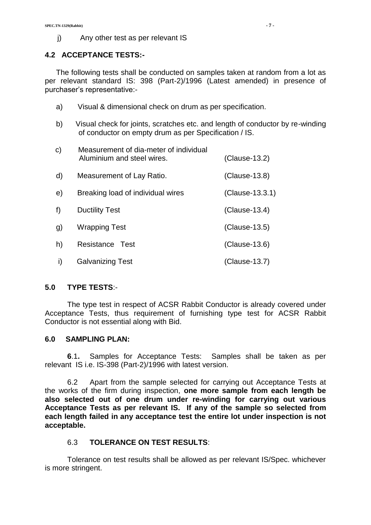#### **4.2 ACCEPTANCE TESTS:-**

The following tests shall be conducted on samples taken at random from a lot as per relevant standard IS: 398 (Part-2)/1996 (Latest amended) in presence of purchaser's representative:-

- a) Visual & dimensional check on drum as per specification.
- b) Visual check for joints, scratches etc. and length of conductor by re-winding of conductor on empty drum as per Specification / IS.

| C) | Measurement of dia-meter of individual<br>Aluminium and steel wires. | $(Clause-13.2)$ |
|----|----------------------------------------------------------------------|-----------------|
| d) | Measurement of Lay Ratio.                                            | (Clause-13.8)   |
| e) | Breaking load of individual wires                                    | (Clause-13.3.1) |
| f) | <b>Ductility Test</b>                                                | (Clause-13.4)   |
| g) | Wrapping Test                                                        | $(Clause-13.5)$ |
| h) | Resistance Test                                                      | (Clause-13.6)   |
| I) | <b>Galvanizing Test</b>                                              | (Clause-13.7)   |

#### **5.0 TYPE TESTS**:-

The type test in respect of ACSR Rabbit Conductor is already covered under Acceptance Tests, thus requirement of furnishing type test for ACSR Rabbit Conductor is not essential along with Bid.

#### **6.0 SAMPLING PLAN:**

**6**.1**.** Samples for Acceptance Tests: Samples shall be taken as per relevant IS i.e. IS-398 (Part-2)/1996 with latest version.

6.2 Apart from the sample selected for carrying out Acceptance Tests at the works of the firm during inspection, **one more sample from each length be also selected out of one drum under re-winding for carrying out various Acceptance Tests as per relevant IS. If any of the sample so selected from each length failed in any acceptance test the entire lot under inspection is not acceptable.**

#### 6.3 **TOLERANCE ON TEST RESULTS**:

Tolerance on test results shall be allowed as per relevant IS/Spec. whichever is more stringent.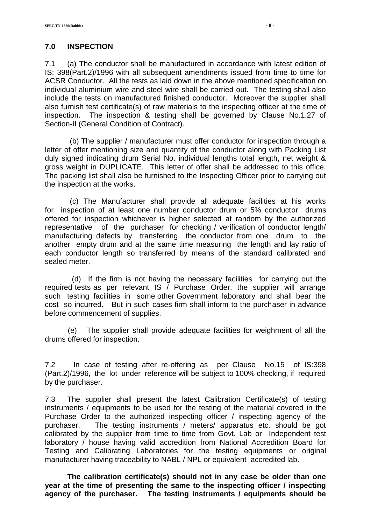# **7.0 INSPECTION**

7.1 (a) The conductor shall be manufactured in accordance with latest edition of IS: 398(Part.2)/1996 with all subsequent amendments issued from time to time for ACSR Conductor. All the tests as laid down in the above mentioned specification on individual aluminium wire and steel wire shall be carried out. The testing shall also include the tests on manufactured finished conductor. Moreover the supplier shall also furnish test certificate(s) of raw materials to the inspecting officer at the time of inspection. The inspection & testing shall be governed by Clause No.1.27 of Section-II (General Condition of Contract).

 (b) The supplier / manufacturer must offer conductor for inspection through a letter of offer mentioning size and quantity of the conductor along with Packing List duly signed indicating drum Serial No. individual lengths total length, net weight & gross weight in DUPLICATE. This letter of offer shall be addressed to this office. The packing list shall also be furnished to the Inspecting Officer prior to carrying out the inspection at the works.

 (c) The Manufacturer shall provide all adequate facilities at his works for inspection of at least one number conductor drum or 5% conductor drums offered for inspection whichever is higher selected at random by the authorized representative of the purchaser for checking / verification of conductor length/ manufacturing defects by transferring the conductor from one drum to the another empty drum and at the same time measuring the length and lay ratio of each conductor length so transferred by means of the standard calibrated and sealed meter.

 (d) If the firm is not having the necessary facilities for carrying out the required tests as per relevant IS / Purchase Order, the supplier will arrange such testing facilities in some other Government laboratory and shall bear the cost so incurred. But in such cases firm shall inform to the purchaser in advance before commencement of supplies.

 (e) The supplier shall provide adequate facilities for weighment of all the drums offered for inspection.

7.2 In case of testing after re-offering as per Clause No.15 of IS:398 (Part.2)/1996, the lot under reference will be subject to 100% checking, if required by the purchaser.

7.3 The supplier shall present the latest Calibration Certificate(s) of testing instruments / equipments to be used for the testing of the material covered in the Purchase Order to the authorized inspecting officer / inspecting agency of the purchaser. The testing instruments / meters/ apparatus etc. should be got calibrated by the supplier from time to time from Govt. Lab or Independent test laboratory / house having valid accredition from National Accredition Board for Testing and Calibrating Laboratories for the testing equipments or original manufacturer having traceability to NABL / NPL or equivalent accredited lab.

**The calibration certificate(s) should not in any case be older than one year at the time of presenting the same to the inspecting officer / inspecting agency of the purchaser. The testing instruments / equipments should be**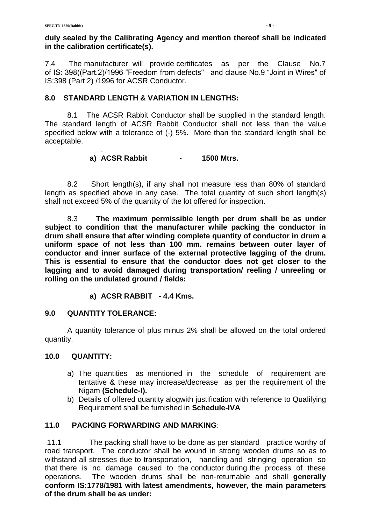### **duly sealed by the Calibrating Agency and mention thereof shall be indicated in the calibration certificate(s).**

7.4 The manufacturer will provide certificates as per the Clause No.7 of IS: 398((Part.2)/1996 "Freedom from defects" and clause No.9 "Joint in Wires" of IS:398 (Part 2) /1996 for ACSR Conductor.

## **8.0 STANDARD LENGTH & VARIATION IN LENGTHS:**

8.1 The ACSR Rabbit Conductor shall be supplied in the standard length. The standard length of ACSR Rabbit Conductor shall not less than the value specified below with a tolerance of (-) 5%. More than the standard length shall be acceptable.

#### . **a) ACSR Rabbit - 1500 Mtrs.**

8.2 Short length(s), if any shall not measure less than 80% of standard length as specified above in any case. The total quantity of such short length(s) shall not exceed 5% of the quantity of the lot offered for inspection.

8.3 **The maximum permissible length per drum shall be as under subject to condition that the manufacturer while packing the conductor in drum shall ensure that after winding complete quantity of conductor in drum a uniform space of not less than 100 mm. remains between outer layer of conductor and inner surface of the external protective lagging of the drum. This is essential to ensure that the conductor does not get closer to the lagging and to avoid damaged during transportation/ reeling / unreeling or rolling on the undulated ground / fields:**

#### **a) ACSR RABBIT - 4.4 Kms.**

#### **9.0 QUANTITY TOLERANCE:**

A quantity tolerance of plus minus 2% shall be allowed on the total ordered quantity.

#### **10.0 QUANTITY:**

- a) The quantities as mentioned in the schedule of requirement are tentative & these may increase/decrease as per the requirement of the Nigam **(Schedule-I).**
- b) Details of offered quantity alogwith justification with reference to Qualifying Requirement shall be furnished in **Schedule-IVA**

#### **11.0 PACKING FORWARDING AND MARKING**:

11.1 The packing shall have to be done as per standard practice worthy of road transport. The conductor shall be wound in strong wooden drums so as to withstand all stresses due to transportation, handling and stringing operation so that there is no damage caused to the conductor during the process of these operations. The wooden drums shall be non-returnable and shall **generally conform IS:1778/1981 with latest amendments, however, the main parameters of the drum shall be as under:**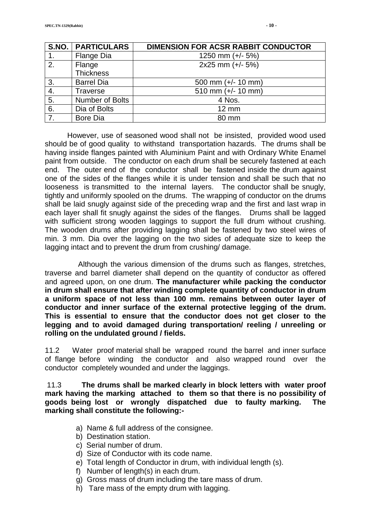|    | <b>S.NO.   PARTICULARS</b> | <b>DIMENSION FOR ACSR RABBIT CONDUCTOR</b> |
|----|----------------------------|--------------------------------------------|
| 1. | Flange Dia                 | 1250 mm $(+/- 5%)$                         |
| 2. | Flange                     | 2x25 mm (+/- 5%)                           |
|    | <b>Thickness</b>           |                                            |
| 3. | <b>Barrel Dia</b>          | 500 mm $(+/- 10$ mm)                       |
| 4. | <b>Traverse</b>            | 510 mm $(+/- 10$ mm)                       |
| 5. | Number of Bolts            | 4 Nos.                                     |
| 6. | Dia of Bolts               | $12 \text{ mm}$                            |
| 7. | <b>Bore Dia</b>            | 80 mm                                      |

However, use of seasoned wood shall not be insisted, provided wood used should be of good quality to withstand transportation hazards. The drums shall be having inside flanges painted with Aluminium Paint and with Ordinary White Enamel paint from outside. The conductor on each drum shall be securely fastened at each end. The outer end of the conductor shall be fastened inside the drum against one of the sides of the flanges while it is under tension and shall be such that no looseness is transmitted to the internal layers. The conductor shall be snugly, tightly and uniformly spooled on the drums. The wrapping of conductor on the drums shall be laid snugly against side of the preceding wrap and the first and last wrap in each layer shall fit snugly against the sides of the flanges. Drums shall be lagged with sufficient strong wooden laggings to support the full drum without crushing. The wooden drums after providing lagging shall be fastened by two steel wires of min. 3 mm. Dia over the lagging on the two sides of adequate size to keep the lagging intact and to prevent the drum from crushing/ damage.

 Although the various dimension of the drums such as flanges, stretches, traverse and barrel diameter shall depend on the quantity of conductor as offered and agreed upon, on one drum. **The manufacturer while packing the conductor in drum shall ensure that after winding complete quantity of conductor in drum a uniform space of not less than 100 mm. remains between outer layer of conductor and inner surface of the external protective legging of the drum. This is essential to ensure that the conductor does not get closer to the legging and to avoid damaged during transportation/ reeling / unreeling or rolling on the undulated ground / fields.**

11.2 Water proof material shall be wrapped round the barrel and inner surface of flange before winding the conductor and also wrapped round over the conductor completely wounded and under the laggings.

11.3 **The drums shall be marked clearly in block letters with water proof mark having the marking attached to them so that there is no possibility of goods being lost or wrongly dispatched due to faulty marking. The marking shall constitute the following:-**

- a) Name & full address of the consignee.
- b) Destination station.
- c) Serial number of drum.
- d) Size of Conductor with its code name.
- e) Total length of Conductor in drum, with individual length (s).
- f) Number of length(s) in each drum.
- g) Gross mass of drum including the tare mass of drum.
- h) Tare mass of the empty drum with lagging.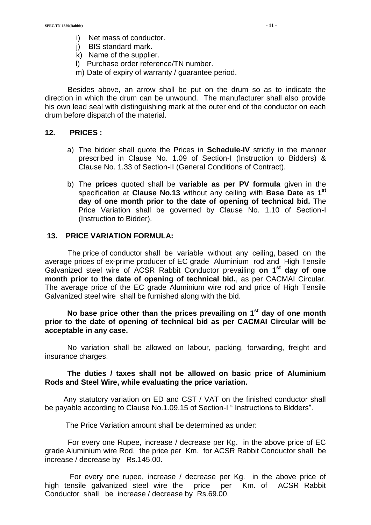- i) Net mass of conductor.
- j) BIS standard mark.
- k) Name of the supplier.
- l) Purchase order reference/TN number.
- m) Date of expiry of warranty / guarantee period.

 Besides above, an arrow shall be put on the drum so as to indicate the direction in which the drum can be unwound. The manufacturer shall also provide his own lead seal with distinguishing mark at the outer end of the conductor on each drum before dispatch of the material.

#### **12. PRICES :**

- a) The bidder shall quote the Prices in **Schedule-IV** strictly in the manner prescribed in Clause No. 1.09 of Section-I (Instruction to Bidders) & Clause No. 1.33 of Section-II (General Conditions of Contract).
- b) The **prices** quoted shall be **variable as per PV formula** given in the specification at **Clause No.13** without any ceiling with **Base Date** as **1 st day of one month prior to the date of opening of technical bid.** The Price Variation shall be governed by Clause No. 1.10 of Section-I (Instruction to Bidder).

#### **13. PRICE VARIATION FORMULA:**

 The price of conductor shall be variable without any ceiling, based on the average prices of ex-prime producer of EC grade Aluminium rod and High Tensile Galvanized steel wire of ACSR Rabbit Conductor prevailing **on 1 st day of one month prior to the date of opening of technical bid.**, as per CACMAI Circular. The average price of the EC grade Aluminium wire rod and price of High Tensile Galvanized steel wire shall be furnished along with the bid.

 **No base price other than the prices prevailing on 1 st day of one month prior to the date of opening of technical bid as per CACMAI Circular will be acceptable in any case.**

No variation shall be allowed on labour, packing, forwarding, freight and insurance charges.

#### **The duties / taxes shall not be allowed on basic price of Aluminium Rods and Steel Wire, while evaluating the price variation.**

 Any statutory variation on ED and CST / VAT on the finished conductor shall be payable according to Clause No.1.09.15 of Section-I " Instructions to Bidders".

The Price Variation amount shall be determined as under:

 For every one Rupee, increase / decrease per Kg. in the above price of EC grade Aluminium wire Rod, the price per Km. for ACSR Rabbit Conductor shall be increase / decrease by Rs.145.00.

 For every one rupee, increase / decrease per Kg. in the above price of high tensile galvanized steel wire the price per Km. of ACSR Rabbit Conductor shall be increase / decrease by Rs.69.00.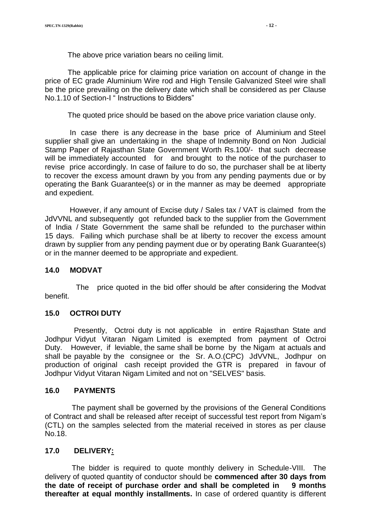The above price variation bears no ceiling limit.

 The applicable price for claiming price variation on account of change in the price of EC grade Aluminium Wire rod and High Tensile Galvanized Steel wire shall be the price prevailing on the delivery date which shall be considered as per Clause No.1.10 of Section-I " Instructions to Bidders"

The quoted price should be based on the above price variation clause only.

 In case there is any decrease in the base price of Aluminium and Steel supplier shall give an undertaking in the shape of Indemnity Bond on Non Judicial Stamp Paper of Rajasthan State Government Worth Rs.100/- that such decrease will be immediately accounted for and brought to the notice of the purchaser to revise price accordingly. In case of failure to do so, the purchaser shall be at liberty to recover the excess amount drawn by you from any pending payments due or by operating the Bank Guarantee(s) or in the manner as may be deemed appropriate and expedient.

 However, if any amount of Excise duty / Sales tax / VAT is claimed from the JdVVNL and subsequently got refunded back to the supplier from the Government of India / State Government the same shall be refunded to the purchaser within 15 days. Failing which purchase shall be at liberty to recover the excess amount drawn by supplier from any pending payment due or by operating Bank Guarantee(s) or in the manner deemed to be appropriate and expedient.

#### **14.0 MODVAT**

 The price quoted in the bid offer should be after considering the Modvat benefit.

#### **15.0 OCTROI DUTY**

 Presently, Octroi duty is not applicable in entire Rajasthan State and Jodhpur Vidyut Vitaran Nigam Limited is exempted from payment of Octroi Duty. However, if leviable, the same shall be borne by the Nigam at actuals and shall be payable by the consignee or the Sr. A.O.(CPC) JdVVNL, Jodhpur on production of original cash receipt provided the GTR is prepared in favour of Jodhpur Vidyut Vitaran Nigam Limited and not on "SELVES" basis.

#### **16.0 PAYMENTS**

 The payment shall be governed by the provisions of the General Conditions of Contract and shall be released after receipt of successful test report from Nigam's (CTL) on the samples selected from the material received in stores as per clause No.18.

#### **17.0 DELIVERY:**

 The bidder is required to quote monthly delivery in Schedule-VIII. The delivery of quoted quantity of conductor should be **commenced after 30 days from the date of receipt of purchase order and shall be completed in 9 months thereafter at equal monthly installments.** In case of ordered quantity is different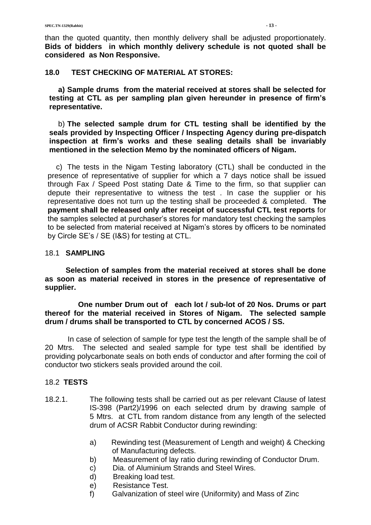than the quoted quantity, then monthly delivery shall be adjusted proportionately. **Bids of bidders in which monthly delivery schedule is not quoted shall be considered as Non Responsive.**

#### **18.0 TEST CHECKING OF MATERIAL AT STORES:**

**a) Sample drums from the material received at stores shall be selected for testing at CTL as per sampling plan given hereunder in presence of firm's representative.**

b) **The selected sample drum for CTL testing shall be identified by the seals provided by Inspecting Officer / Inspecting Agency during pre-dispatch inspection at firm's works and these sealing details shall be invariably mentioned in the selection Memo by the nominated officers of Nigam.**

c) The tests in the Nigam Testing laboratory (CTL) shall be conducted in the presence of representative of supplier for which a 7 days notice shall be issued through Fax / Speed Post stating Date & Time to the firm, so that supplier can depute their representative to witness the test . In case the supplier or his representative does not turn up the testing shall be proceeded & completed. **The payment shall be released only after receipt of successful CTL test reports** for the samples selected at purchaser's stores for mandatory test checking the samples to be selected from material received at Nigam's stores by officers to be nominated by Circle SE's / SE (I&S) for testing at CTL.

#### 18.1 **SAMPLING**

 **Selection of samples from the material received at stores shall be done as soon as material received in stores in the presence of representative of supplier.**

 **One number Drum out of each lot / sub-lot of 20 Nos. Drums or part thereof for the material received in Stores of Nigam. The selected sample drum / drums shall be transported to CTL by concerned ACOS / SS.**

 In case of selection of sample for type test the length of the sample shall be of 20 Mtrs. The selected and sealed sample for type test shall be identified by providing polycarbonate seals on both ends of conductor and after forming the coil of conductor two stickers seals provided around the coil.

#### 18.2 **TESTS**

- 18.2.1. The following tests shall be carried out as per relevant Clause of latest IS-398 (Part2)/1996 on each selected drum by drawing sample of 5 Mtrs. at CTL from random distance from any length of the selected drum of ACSR Rabbit Conductor during rewinding:
	- a) Rewinding test (Measurement of Length and weight) & Checking of Manufacturing defects.
	- b) Measurement of lay ratio during rewinding of Conductor Drum.
	- c) Dia. of Aluminium Strands and Steel Wires.
	- d) Breaking load test.
	- e) Resistance Test.
	- f) Galvanization of steel wire (Uniformity) and Mass of Zinc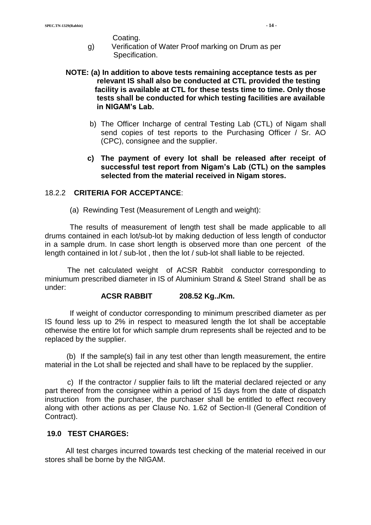Coating.

g) Verification of Water Proof marking on Drum as per Specification.

#### **NOTE: (a) In addition to above tests remaining acceptance tests as per relevant IS shall also be conducted at CTL provided the testing facility is available at CTL for these tests time to time. Only those tests shall be conducted for which testing facilities are available in NIGAM's Lab.**

- b) The Officer Incharge of central Testing Lab (CTL) of Nigam shall send copies of test reports to the Purchasing Officer / Sr. AO (CPC), consignee and the supplier.
- **c) The payment of every lot shall be released after receipt of successful test report from Nigam's Lab (CTL) on the samples selected from the material received in Nigam stores.**

## 18.2.2 **CRITERIA FOR ACCEPTANCE**:

(a) Rewinding Test (Measurement of Length and weight):

 The results of measurement of length test shall be made applicable to all drums contained in each lot/sub-lot by making deduction of less length of conductor in a sample drum. In case short length is observed more than one percent of the length contained in lot / sub-lot , then the lot / sub-lot shall liable to be rejected.

The net calculated weight of ACSR Rabbit conductor corresponding to miniumum prescribed diameter in IS of Aluminium Strand & Steel Strand shall be as under:

#### **ACSR RABBIT 208.52 Kg../Km.**

 If weight of conductor corresponding to minimum prescribed diameter as per IS found less up to 2% in respect to measured length the lot shall be acceptable otherwise the entire lot for which sample drum represents shall be rejected and to be replaced by the supplier.

 (b) If the sample(s) fail in any test other than length measurement, the entire material in the Lot shall be rejected and shall have to be replaced by the supplier.

c) If the contractor / supplier fails to lift the material declared rejected or any part thereof from the consignee within a period of 15 days from the date of dispatch instruction from the purchaser, the purchaser shall be entitled to effect recovery along with other actions as per Clause No. 1.62 of Section-II (General Condition of Contract).

#### **19.0 TEST CHARGES:**

 All test charges incurred towards test checking of the material received in our stores shall be borne by the NIGAM.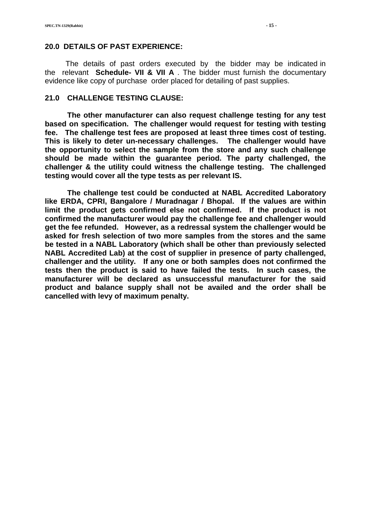#### **20.0 DETAILS OF PAST EXPERIENCE:**

 The details of past orders executed by the bidder may be indicated in the relevant **Schedule- VII & VII A** . The bidder must furnish the documentary evidence like copy of purchase order placed for detailing of past supplies.

#### **21.0 CHALLENGE TESTING CLAUSE:**

**The other manufacturer can also request challenge testing for any test based on specification. The challenger would request for testing with testing fee. The challenge test fees are proposed at least three times cost of testing. This is likely to deter un-necessary challenges. The challenger would have the opportunity to select the sample from the store and any such challenge should be made within the guarantee period. The party challenged, the challenger & the utility could witness the challenge testing. The challenged testing would cover all the type tests as per relevant IS.**

**The challenge test could be conducted at NABL Accredited Laboratory like ERDA, CPRI, Bangalore / Muradnagar / Bhopal. If the values are within limit the product gets confirmed else not confirmed. If the product is not confirmed the manufacturer would pay the challenge fee and challenger would get the fee refunded. However, as a redressal system the challenger would be asked for fresh selection of two more samples from the stores and the same be tested in a NABL Laboratory (which shall be other than previously selected NABL Accredited Lab) at the cost of supplier in presence of party challenged, challenger and the utility. If any one or both samples does not confirmed the tests then the product is said to have failed the tests. In such cases, the manufacturer will be declared as unsuccessful manufacturer for the said product and balance supply shall not be availed and the order shall be cancelled with levy of maximum penalty.**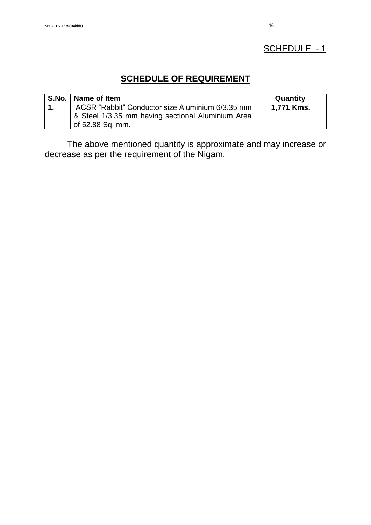# SCHEDULE - 1

# **SCHEDULE OF REQUIREMENT**

|                | S.No.   Name of Item                              | Quantity   |
|----------------|---------------------------------------------------|------------|
| $\blacksquare$ | ACSR "Rabbit" Conductor size Aluminium 6/3.35 mm  | 1,771 Kms. |
|                | & Steel 1/3.35 mm having sectional Aluminium Area |            |
|                | of 52.88 Sq. mm.                                  |            |

The above mentioned quantity is approximate and may increase or decrease as per the requirement of the Nigam.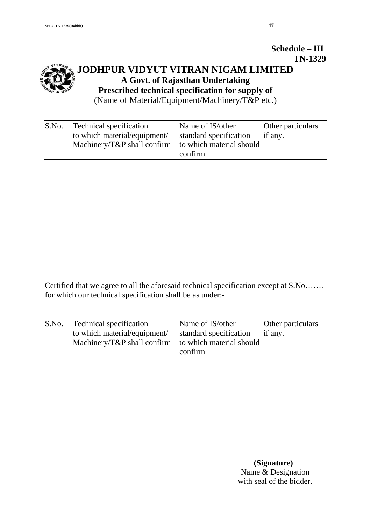#### **Schedule – III TN-1329**

# **JODHPUR VIDYUT VITRAN NIGAM LIMITED A Govt. of Rajasthan Undertaking Prescribed technical specification for supply of**  (Name of Material/Equipment/Machinery/T&P etc.)

| S.No. | Technical specification                              | Name of IS/other       | Other particulars |
|-------|------------------------------------------------------|------------------------|-------------------|
|       | to which material/equipment/                         | standard specification | if any.           |
|       | Machinery/T&P shall confirm to which material should |                        |                   |
|       |                                                      | confirm                |                   |

Certified that we agree to all the aforesaid technical specification except at S.No……. for which our technical specification shall be as under:-

| S.No. | Technical specification<br>to which material/equipment/<br>Machinery/T&P shall confirm to which material should | Name of IS/other<br>standard specification | Other particulars<br>if any. |
|-------|-----------------------------------------------------------------------------------------------------------------|--------------------------------------------|------------------------------|
|       |                                                                                                                 | confirm                                    |                              |
|       |                                                                                                                 |                                            |                              |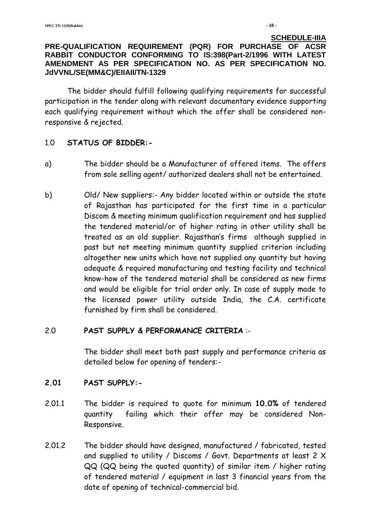#### **SCHEDULE-IIIA PRE-QUALIFICATION REQUIREMENT (PQR) FOR PURCHASE OF ACSR RABBIT CONDUCTOR CONFORMING TO IS:398(Part-2/1996 WITH LATEST AMENDMENT AS PER SPECIFICATION NO. AS PER SPECIFICATION NO. JdVVNL/SE(MM&C)/EIIAII/TN-1329**

The bidder should fulfill following qualifying requirements for successful participation in the tender along with relevant documentary evidence supporting each qualifying requirement without which the offer shall be considered nonresponsive & rejected.

# 1.0 **STATUS OF BIDDER:-**

- a) The bidder should be a Manufacturer of offered items. The offers from sole selling agent/ authorized dealers shall not be entertained.
- b) Old/ New suppliers:- Any bidder located within or outside the state of Rajasthan has participated for the first time in a particular Discom & meeting minimum qualification requirement and has supplied the tendered material/or of higher rating in other utility shall be treated as an old supplier. Rajasthan's firms although supplied in past but not meeting minimum quantity supplied criterion including altogether new units which have not supplied any quantity but having adequate & required manufacturing and testing facility and technical know-how of the tendered material shall be considered as new firms and would be eligible for trial order only. In case of supply made to the licensed power utility outside India, the C.A. certificate furnished by firm shall be considered.

# 2.0 **PAST SUPPLY & PERFORMANCE CRITERIA** :-

The bidder shall meet both past supply and performance criteria as detailed below for opening of tenders:-

# **2.01 PAST SUPPLY:-**

- 2.01.1 The bidder is required to quote for minimum **10.0%** of tendered quantity failing which their offer may be considered Non-Responsive.
- 2.01.2 The bidder should have designed, manufactured / fabricated, tested and supplied to utility / Discoms / Govt. Departments at least 2 X QQ (QQ being the quoted quantity) of similar item / higher rating of tendered material / equipment in last 3 financial years from the date of opening of technical-commercial bid.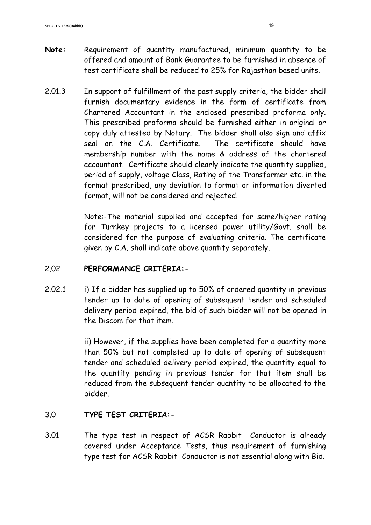- **Note:** Requirement of quantity manufactured, minimum quantity to be offered and amount of Bank Guarantee to be furnished in absence of test certificate shall be reduced to 25% for Rajasthan based units.
- 2.01.3 In support of fulfillment of the past supply criteria, the bidder shall furnish documentary evidence in the form of certificate from Chartered Accountant in the enclosed prescribed proforma only. This prescribed proforma should be furnished either in original or copy duly attested by Notary. The bidder shall also sign and affix seal on the C.A. Certificate. The certificate should have membership number with the name & address of the chartered accountant. Certificate should clearly indicate the quantity supplied, period of supply, voltage Class, Rating of the Transformer etc. in the format prescribed, any deviation to format or information diverted format, will not be considered and rejected.

Note:-The material supplied and accepted for same/higher rating for Turnkey projects to a licensed power utility/Govt. shall be considered for the purpose of evaluating criteria. The certificate given by C.A. shall indicate above quantity separately.

# 2.02 **PERFORMANCE CRITERIA:-**

2.02.1 i) If a bidder has supplied up to 50% of ordered quantity in previous tender up to date of opening of subsequent tender and scheduled delivery period expired, the bid of such bidder will not be opened in the Discom for that item.

> ii) However, if the supplies have been completed for a quantity more than 50% but not completed up to date of opening of subsequent tender and scheduled delivery period expired, the quantity equal to the quantity pending in previous tender for that item shall be reduced from the subsequent tender quantity to be allocated to the bidder.

# 3.0 **TYPE TEST CRITERIA:-**

3.01 The type test in respect of ACSR Rabbit Conductor is already covered under Acceptance Tests, thus requirement of furnishing type test for ACSR Rabbit Conductor is not essential along with Bid.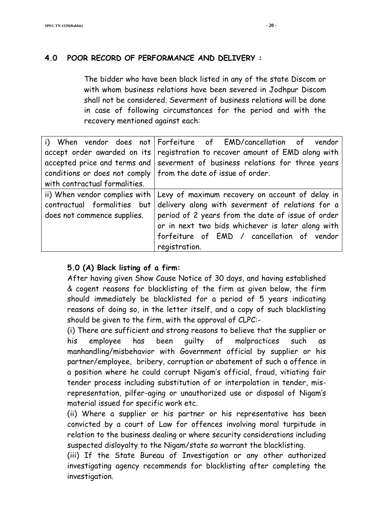# **4.0 POOR RECORD OF PERFORMANCE AND DELIVERY :**

The bidder who have been black listed in any of the state Discom or with whom business relations have been severed in Jodhpur Discom shall not be considered. Severment of business relations will be done in case of following circumstances for the period and with the recovery mentioned against each:

|                               | i) When vendor does not Forfeiture of EMD/cancellation of vendor               |  |  |  |
|-------------------------------|--------------------------------------------------------------------------------|--|--|--|
| accept order awarded on its   | registration to recover amount of EMD along with                               |  |  |  |
|                               | accepted price and terms and   severment of business relations for three years |  |  |  |
|                               | conditions or does not comply   from the date of issue of order.               |  |  |  |
| with contractual formalities. |                                                                                |  |  |  |
| ii) When vendor complies with | Levy of maximum recovery on account of delay in                                |  |  |  |
| contractual formalities but   | delivery along with severment of relations for a                               |  |  |  |
| does not commence supplies.   | period of 2 years from the date of issue of order                              |  |  |  |
|                               | or in next two bids whichever is later along with                              |  |  |  |
|                               | forfeiture of EMD / cancellation of vendor                                     |  |  |  |
|                               | registration.                                                                  |  |  |  |

# **5.0 (A) Black listing of a firm:**

After having given Show Cause Notice of 30 days, and having established & cogent reasons for blacklisting of the firm as given below, the firm should immediately be blacklisted for a period of 5 years indicating reasons of doing so, in the letter itself, and a copy of such blacklisting should be given to the firm, with the approval of CLPC:-

(i) There are sufficient and strong reasons to believe that the supplier or his employee has been guilty of malpractices such as manhandling/misbehavior with Government official by supplier or his partner/employee, bribery, corruption or abatement of such a offence in a position where he could corrupt Nigam's official, fraud, vitiating fair tender process including substitution of or interpolation in tender, misrepresentation, pilfer-aging or unauthorized use or disposal of Nigam's material issued for specific work etc.

(ii) Where a supplier or his partner or his representative has been convicted by a court of Law for offences involving moral turpitude in relation to the business dealing or where security considerations including suspected disloyalty to the Nigam/state so warrant the blacklisting.

(iii) If the State Bureau of Investigation or any other authorized investigating agency recommends for blacklisting after completing the investigation.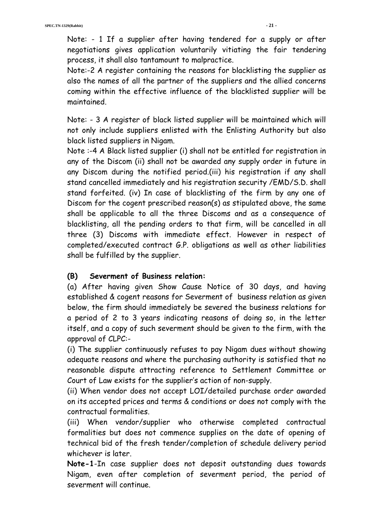Note: - 1 If a supplier after having tendered for a supply or after negotiations gives application voluntarily vitiating the fair tendering process, it shall also tantamount to malpractice.

Note:-2 A register containing the reasons for blacklisting the supplier as also the names of all the partner of the suppliers and the allied concerns coming within the effective influence of the blacklisted supplier will be maintained.

Note: - 3 A register of black listed supplier will be maintained which will not only include suppliers enlisted with the Enlisting Authority but also black listed suppliers in Nigam.

Note :-4 A Black listed supplier (i) shall not be entitled for registration in any of the Discom (ii) shall not be awarded any supply order in future in any Discom during the notified period.(iii) his registration if any shall stand cancelled immediately and his registration security /EMD/S.D. shall stand forfeited. (iv) In case of blacklisting of the firm by any one of Discom for the cogent prescribed reason(s) as stipulated above, the same shall be applicable to all the three Discoms and as a consequence of blacklisting, all the pending orders to that firm, will be cancelled in all three (3) Discoms with immediate effect. However in respect of completed/executed contract G.P. obligations as well as other liabilities shall be fulfilled by the supplier.

# **(B) Severment of Business relation:**

(a) After having given Show Cause Notice of 30 days, and having established & cogent reasons for Severment of business relation as given below, the firm should immediately be severed the business relations for a period of 2 to 3 years indicating reasons of doing so, in the letter itself, and a copy of such severment should be given to the firm, with the approval of CLPC:-

(i) The supplier continuously refuses to pay Nigam dues without showing adequate reasons and where the purchasing authority is satisfied that no reasonable dispute attracting reference to Settlement Committee or Court of Law exists for the supplier's action of non-supply.

(ii) When vendor does not accept LOI/detailed purchase order awarded on its accepted prices and terms & conditions or does not comply with the contractual formalities.

(iii) When vendor/supplier who otherwise completed contractual formalities but does not commence supplies on the date of opening of technical bid of the fresh tender/completion of schedule delivery period whichever is later.

**Note-1**-In case supplier does not deposit outstanding dues towards Nigam, even after completion of severment period, the period of severment will continue.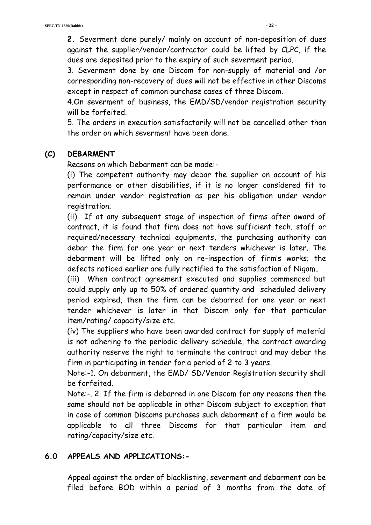**2.** Severment done purely/ mainly on account of non-deposition of dues against the supplier/vendor/contractor could be lifted by CLPC, if the dues are deposited prior to the expiry of such severment period.

3. Severment done by one Discom for non-supply of material and /or corresponding non-recovery of dues will not be effective in other Discoms except in respect of common purchase cases of three Discom.

4.On severment of business, the EMD/SD/vendor registration security will be forfeited.

5. The orders in execution satisfactorily will not be cancelled other than the order on which severment have been done.

## **(C) DEBARMENT**

Reasons on which Debarment can be made:-

(i) The competent authority may debar the supplier on account of his performance or other disabilities, if it is no longer considered fit to remain under vendor registration as per his obligation under vendor registration.

(ii) If at any subsequent stage of inspection of firms after award of contract, it is found that firm does not have sufficient tech. staff or required/necessary technical equipments, the purchasing authority can debar the firm for one year or next tenders whichever is later. The debarment will be lifted only on re-inspection of firm's works; the defects noticed earlier are fully rectified to the satisfaction of Nigam**.** 

(iii) When contract agreement executed and supplies commenced but could supply only up to 50% of ordered quantity and scheduled delivery period expired, then the firm can be debarred for one year or next tender whichever is later in that Discom only for that particular item/rating/ capacity/size etc.

(iv) The suppliers who have been awarded contract for supply of material is not adhering to the periodic delivery schedule, the contract awarding authority reserve the right to terminate the contract and may debar the firm in participating in tender for a period of 2 to 3 years.

Note:-1. On debarment, the EMD/ SD/Vendor Registration security shall be forfeited.

Note:-. 2. If the firm is debarred in one Discom for any reasons then the same should not be applicable in other Discom subject to exception that in case of common Discoms purchases such debarment of a firm would be applicable to all three Discoms for that particular item and rating/capacity/size etc.

# **6.0 APPEALS AND APPLICATIONS:-**

Appeal against the order of blacklisting, severment and debarment can be filed before BOD within a period of 3 months from the date of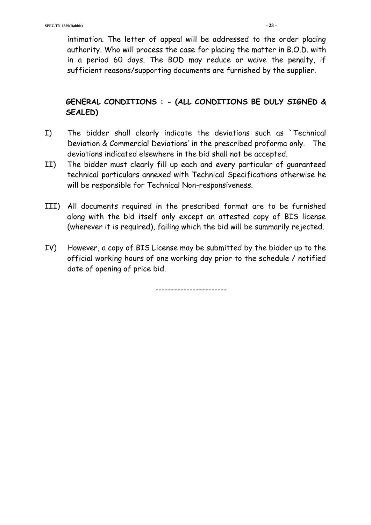intimation. The letter of appeal will be addressed to the order placing authority. Who will process the case for placing the matter in B.O.D. with in a period 60 days. The BOD may reduce or waive the penalty, if sufficient reasons/supporting documents are furnished by the supplier.

# **GENERAL CONDITIONS : - (ALL CONDITIONS BE DULY SIGNED & SEALED)**

- I) The bidder shall clearly indicate the deviations such as `Technical Deviation & Commercial Deviations' in the prescribed proforma only. The deviations indicated elsewhere in the bid shall not be accepted.
- II) The bidder must clearly fill up each and every particular of guaranteed technical particulars annexed with Technical Specifications otherwise he will be responsible for Technical Non-responsiveness.
- III) All documents required in the prescribed format are to be furnished along with the bid itself only except an attested copy of BIS license (wherever it is required), failing which the bid will be summarily rejected.
- IV) However, a copy of BIS License may be submitted by the bidder up to the official working hours of one working day prior to the schedule / notified date of opening of price bid.

-----------------------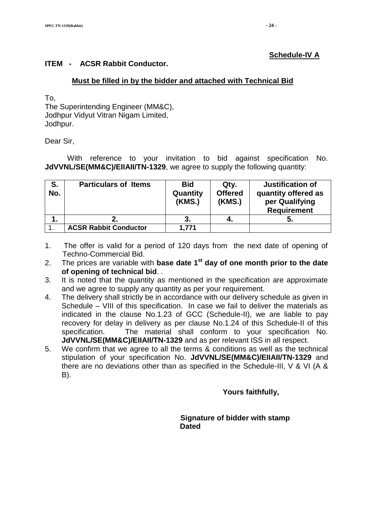#### **Schedule-IV A**

#### **ITEM - ACSR Rabbit Conductor.**

#### **Must be filled in by the bidder and attached with Technical Bid**

To,

The Superintending Engineer (MM&C), Jodhpur Vidyut Vitran Nigam Limited, Jodhpur.

Dear Sir,

With reference to your invitation to bid against specification No. **JdVVNL/SE(MM&C)/EIIAII/TN-1329**, we agree to supply the following quantity:

| S.<br>No. | <b>Particulars of Items</b>  | <b>Bid</b><br>Quantity<br>(KMS.) | Qty.<br><b>Offered</b><br>(KMS.) | <b>Justification of</b><br>quantity offered as<br>per Qualifying<br><b>Requirement</b> |
|-----------|------------------------------|----------------------------------|----------------------------------|----------------------------------------------------------------------------------------|
| 1.        |                              |                                  | 4.                               |                                                                                        |
|           | <b>ACSR Rabbit Conductor</b> | 1,771                            |                                  |                                                                                        |

- 1. The offer is valid for a period of 120 days from the next date of opening of Techno-Commercial Bid.
- 2. The prices are variable with **base date 1<sup>st</sup> day of one month prior to the date of opening of technical bid**. .
- 3. It is noted that the quantity as mentioned in the specification are approximate and we agree to supply any quantity as per your requirement.
- 4. The delivery shall strictly be in accordance with our delivery schedule as given in Schedule – VIII of this specification. In case we fail to deliver the materials as indicated in the clause No.1.23 of GCC (Schedule-II), we are liable to pay recovery for delay in delivery as per clause No.1.24 of this Schedule-II of this specification. The material shall conform to your specification No. **JdVVNL/SE(MM&C)/EIIAII/TN-1329** and as per relevant ISS in all respect.
- 5. We confirm that we agree to all the terms & conditions as well as the technical stipulation of your specification No. **JdVVNL/SE(MM&C)/EIIAII/TN-1329** and there are no deviations other than as specified in the Schedule-III, V & VI (A & B).

 **Yours faithfully,** 

 **Signature of bidder with stamp Dated**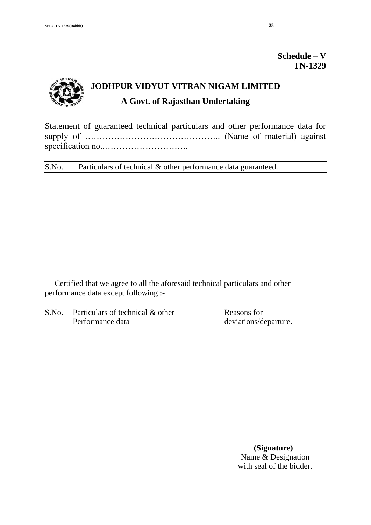# **Schedule – V TN-1329**



Statement of guaranteed technical particulars and other performance data for supply of ……………………………………….. (Name of material) against specification no..………………………..

S.No. Particulars of technical & other performance data guaranteed.

Certified that we agree to all the aforesaid technical particulars and other performance data except following :-

| S.No. | Particulars of technical & other | Reasons for           |
|-------|----------------------------------|-----------------------|
|       | Performance data                 | deviations/departure. |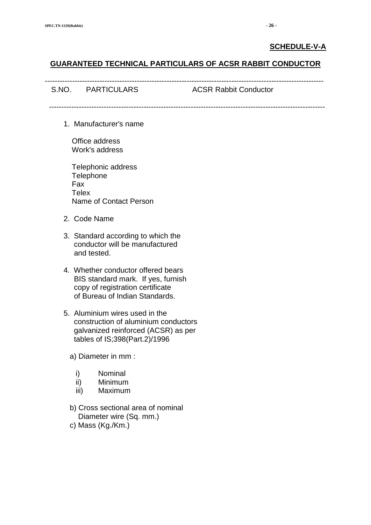#### **SCHEDULE-V-A**

#### **GUARANTEED TECHNICAL PARTICULARS OF ACSR RABBIT CONDUCTOR**

| S.NO. PARTICULARS | <b>ACSR Rabbit Conductor</b> |
|-------------------|------------------------------|
|                   |                              |

1. Manufacturer's name

 Office address Work's address

 Telephonic address **Telephone**  Fax **Telex** Name of Contact Person

- 2. Code Name
- 3. Standard according to which the conductor will be manufactured and tested.
- 4. Whether conductor offered bears BIS standard mark. If yes, furnish copy of registration certificate of Bureau of Indian Standards.
- 5. Aluminium wires used in the construction of aluminium conductors galvanized reinforced (ACSR) as per tables of IS;398(Part.2)/1996
	- a) Diameter in mm :
		- i) Nominal
		- ii) Minimum
		- iii) Maximum
	- b) Cross sectional area of nominal Diameter wire (Sq. mm.)
	- c) Mass (Kg./Km.)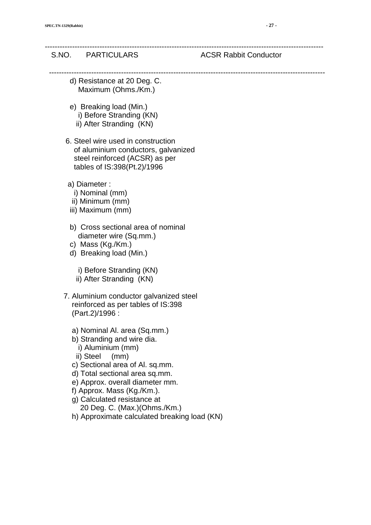#### S.NO. PARTICULARS ACSR Rabbit Conductor

----------------------------------------------------------------------------------------------------------------

---------------------------------------------------------------------------------------------------------------

- d) Resistance at 20 Deg. C. Maximum (Ohms./Km.)
- e) Breaking load (Min.) i) Before Stranding (KN) ii) After Stranding (KN)
	-
- 6. Steel wire used in construction of aluminium conductors, galvanized steel reinforced (ACSR) as per tables of IS:398(Pt.2)/1996
- a) Diameter :
	- i) Nominal (mm)
	- ii) Minimum (mm)
- iii) Maximum (mm)
- b) Cross sectional area of nominal diameter wire (Sq.mm.)
- c) Mass (Kg./Km.)
- d) Breaking load (Min.)
	- i) Before Stranding (KN)
	- ii) After Stranding (KN)
- 7. Aluminium conductor galvanized steel reinforced as per tables of IS:398 (Part.2)/1996 :
	- a) Nominal Al. area (Sq.mm.)
	- b) Stranding and wire dia.
		- i) Aluminium (mm)
		- ii) Steel (mm)
	- c) Sectional area of Al. sq.mm.
	- d) Total sectional area sq.mm.
	- e) Approx. overall diameter mm.
	- f) Approx. Mass (Kg./Km.).
	- g) Calculated resistance at 20 Deg. C. (Max.)(Ohms./Km.)
	- h) Approximate calculated breaking load (KN)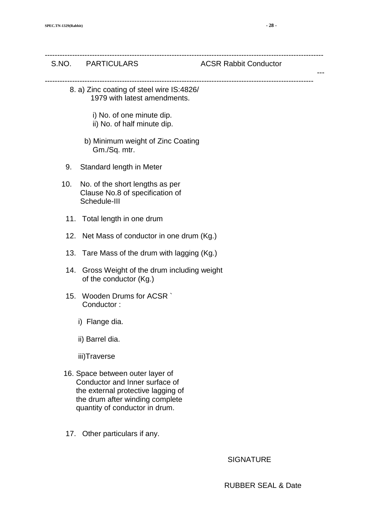|     | S.NO. PARTICULARS                                                                                                                                                             | <b>ACSR Rabbit Conductor</b> |
|-----|-------------------------------------------------------------------------------------------------------------------------------------------------------------------------------|------------------------------|
|     | 8. a) Zinc coating of steel wire IS:4826/<br>1979 with latest amendments.                                                                                                     |                              |
|     | i) No. of one minute dip.<br>ii) No. of half minute dip.                                                                                                                      |                              |
|     | b) Minimum weight of Zinc Coating<br>Gm./Sq. mtr.                                                                                                                             |                              |
| 9.  | Standard length in Meter                                                                                                                                                      |                              |
| 10. | No. of the short lengths as per<br>Clause No.8 of specification of<br>Schedule-III                                                                                            |                              |
|     | 11. Total length in one drum                                                                                                                                                  |                              |
|     | 12. Net Mass of conductor in one drum (Kg.)                                                                                                                                   |                              |
|     | 13. Tare Mass of the drum with lagging (Kg.)                                                                                                                                  |                              |
| 14. | Gross Weight of the drum including weight<br>of the conductor (Kg.)                                                                                                           |                              |
| 15. | Wooden Drums for ACSR `<br>Conductor:                                                                                                                                         |                              |
|     | i) Flange dia.                                                                                                                                                                |                              |
|     | ii) Barrel dia.                                                                                                                                                               |                              |
|     | iii)Traverse                                                                                                                                                                  |                              |
|     | 16. Space between outer layer of<br>Conductor and Inner surface of<br>the external protective lagging of<br>the drum after winding complete<br>quantity of conductor in drum. |                              |
|     | 17. Other particulars if any.                                                                                                                                                 |                              |

SIGNATURE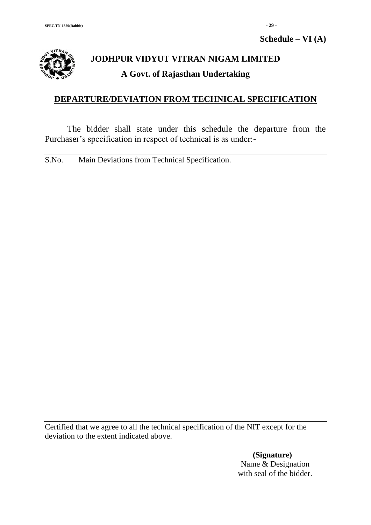**Schedule – VI (A)**



# **JODHPUR VIDYUT VITRAN NIGAM LIMITED A Govt. of Rajasthan Undertaking**

# **DEPARTURE/DEVIATION FROM TECHNICAL SPECIFICATION**

The bidder shall state under this schedule the departure from the Purchaser's specification in respect of technical is as under:-

S.No. Main Deviations from Technical Specification.

Certified that we agree to all the technical specification of the NIT except for the deviation to the extent indicated above.

> **(Signature)** Name & Designation with seal of the bidder.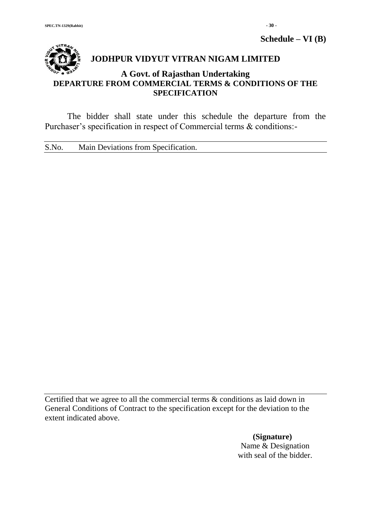**Schedule – VI (B)**

# **JODHPUR VIDYUT VITRAN NIGAM LIMITED**

# **A Govt. of Rajasthan Undertaking DEPARTURE FROM COMMERCIAL TERMS & CONDITIONS OF THE SPECIFICATION**

The bidder shall state under this schedule the departure from the Purchaser's specification in respect of Commercial terms & conditions:-

S.No. Main Deviations from Specification.

Certified that we agree to all the commercial terms & conditions as laid down in General Conditions of Contract to the specification except for the deviation to the extent indicated above.

> **(Signature)** Name & Designation with seal of the bidder.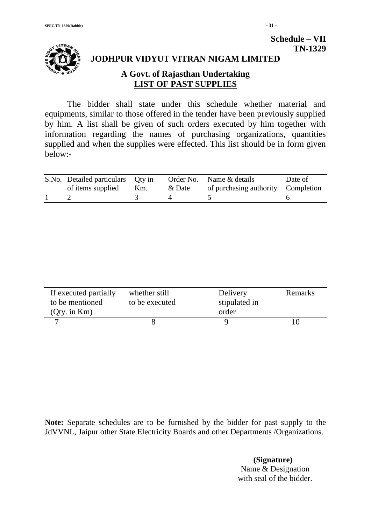

# **JODHPUR VIDYUT VITRAN NIGAM LIMITED**

# **A Govt. of Rajasthan Undertaking LIST OF PAST SUPPLIES**

The bidder shall state under this schedule whether material and equipments, similar to those offered in the tender have been previously supplied by him. A list shall be given of such orders executed by him together with information regarding the names of purchasing organizations, quantities supplied and when the supplies were effected. This list should be in form given below:-

| S.No. Detailed particulars Qty in<br>of items supplied | Km. | & Date | Order No. Name & details<br>of purchasing authority Completion | Date of |
|--------------------------------------------------------|-----|--------|----------------------------------------------------------------|---------|
|                                                        |     |        |                                                                |         |

| If executed partially<br>to be mentioned<br>$Qty.$ in $Km$ ) | whether still<br>to be executed | Delivery<br>stipulated in<br>order | Remarks |
|--------------------------------------------------------------|---------------------------------|------------------------------------|---------|
|                                                              |                                 |                                    |         |

**Note:** Separate schedules are to be furnished by the bidder for past supply to the JdVVNL, Jaipur other State Electricity Boards and other Departments /Organizations.

> **(Signature)** Name & Designation with seal of the bidder.

**Schedule – VII**

 **TN-1329**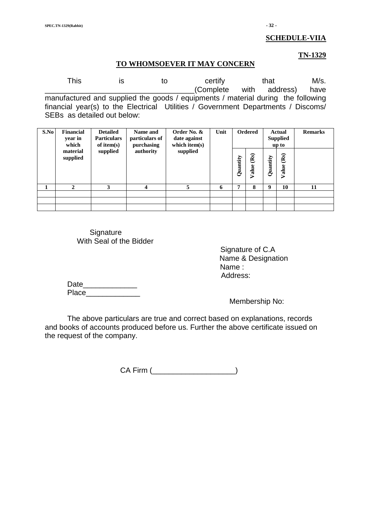#### **SCHEDULE-VIIA**

#### **TN-1329**

#### **TO WHOMSOEVER IT MAY CONCERN**

This is to certify that M/s. \_\_\_\_\_\_\_\_\_\_\_\_\_\_\_\_\_\_\_\_\_\_\_\_\_\_\_\_\_\_\_\_\_\_\_\_(Complete with address) have manufactured and supplied the goods / equipments / material during the following financial year(s) to the Electrical Utilities / Government Departments / Discoms/ SEBs as detailed out below:

| S.No | <b>Financial</b><br>year in<br>which | <b>Detailed</b><br><b>Particulars</b><br>of item $(s)$ | Name and<br>particulars of<br>purchasing | Order No. &<br>date against<br>which item $(s)$ | Unit | <b>Ordered</b> |               | Actual<br><b>Supplied</b><br>up to |               | <b>Remarks</b> |
|------|--------------------------------------|--------------------------------------------------------|------------------------------------------|-------------------------------------------------|------|----------------|---------------|------------------------------------|---------------|----------------|
|      | material<br>supplied                 | supplied                                               | authority                                | supplied                                        |      | Quantity       | (Rs)<br>Value | Quantity                           | (Rs)<br>Value |                |
|      | 2                                    | 3                                                      | 4                                        | 5                                               | 6    | 7              | 8             | 9                                  | 10            | 11             |
|      |                                      |                                                        |                                          |                                                 |      |                |               |                                    |               |                |
|      |                                      |                                                        |                                          |                                                 |      |                |               |                                    |               |                |
|      |                                      |                                                        |                                          |                                                 |      |                |               |                                    |               |                |

**Signature** With Seal of the Bidder

> Signature of C.A Name & Designation Name : Address:

Date **Date** Place\_\_\_\_\_\_\_\_\_\_\_\_\_

Membership No:

The above particulars are true and correct based on explanations, records and books of accounts produced before us. Further the above certificate issued on the request of the company.

CA Firm (\_\_\_\_\_\_\_\_\_\_\_\_\_\_\_\_\_\_\_\_)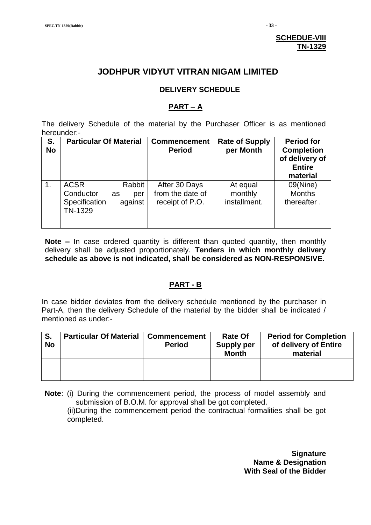#### **SCHEDUE-VIII TN-1329**

# **JODHPUR VIDYUT VITRAN NIGAM LIMITED**

#### **DELIVERY SCHEDULE**

#### **PART – A**

The delivery Schedule of the material by the Purchaser Officer is as mentioned hereunder:-

| S.<br><b>No</b> | <b>Particular Of Material</b>                        |                                | <b>Commencement</b><br><b>Period</b>                 | <b>Rate of Supply</b><br>per Month  | <b>Period for</b><br><b>Completion</b><br>of delivery of<br><b>Entire</b><br>material |
|-----------------|------------------------------------------------------|--------------------------------|------------------------------------------------------|-------------------------------------|---------------------------------------------------------------------------------------|
| $\mathbf 1$ .   | <b>ACSR</b><br>Conductor<br>Specification<br>TN-1329 | Rabbit<br>as<br>per<br>against | After 30 Days<br>from the date of<br>receipt of P.O. | At equal<br>monthly<br>installment. | 09(Nine)<br><b>Months</b><br>thereafter.                                              |

**Note –** In case ordered quantity is different than quoted quantity, then monthly delivery shall be adjusted proportionately. **Tenders in which monthly delivery schedule as above is not indicated, shall be considered as NON-RESPONSIVE.**

#### **PART - B**

In case bidder deviates from the delivery schedule mentioned by the purchaser in Part-A, then the delivery Schedule of the material by the bidder shall be indicated / mentioned as under:-

| S.<br><b>No</b> | <b>Particular Of Material</b> | <b>Commencement</b><br><b>Period</b> | <b>Rate Of</b><br><b>Supply per</b><br><b>Month</b> | <b>Period for Completion</b><br>of delivery of Entire<br>material |
|-----------------|-------------------------------|--------------------------------------|-----------------------------------------------------|-------------------------------------------------------------------|
|                 |                               |                                      |                                                     |                                                                   |

 **Note**: (i) During the commencement period, the process of model assembly and submission of B.O.M. for approval shall be got completed. (ii)During the commencement period the contractual formalities shall be got completed.

> **Signature Name & Designation With Seal of the Bidder**